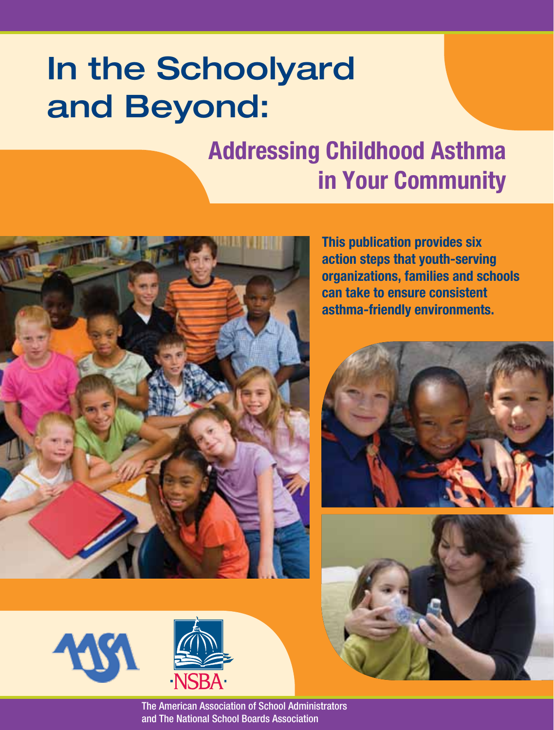# In the Schoolyard and Beyond:

## **Addressing Childhood Asthma in Your Community**



**This publication provides six action steps that youth-serving organizations, families and schools can take to ensure consistent asthma-friendly environments.** 









**The American Association of School Administrators** and The National School Boards Association **Boards Association**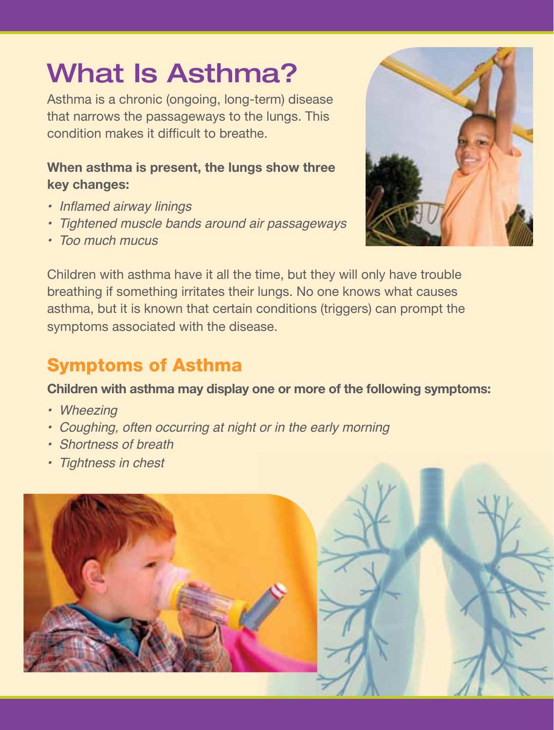# What Is Asthma?

Asthma is a chronic (ongoing, long-term) disease that narrows the passageways to the lungs. This condition makes it difficult to breathe.

#### **When asthma is present, the lungs show three key changes:**

- Inflamed airway linings
- Tightened muscle bands around air passageways
- Too much mucus



Children with asthma have it all the time, but they will only have trouble breathing if something irritates their lungs. No one knows what causes asthma, but it is known that certain conditions (triggers) can prompt the symptoms associated with the disease.

#### Symptoms of Asthma

#### **Children with asthma may display one or more of the following symptoms:**

- Wheezing
- Coughing, often occurring at night or in the early morning
- Shortness of breath
- Tightness in chest

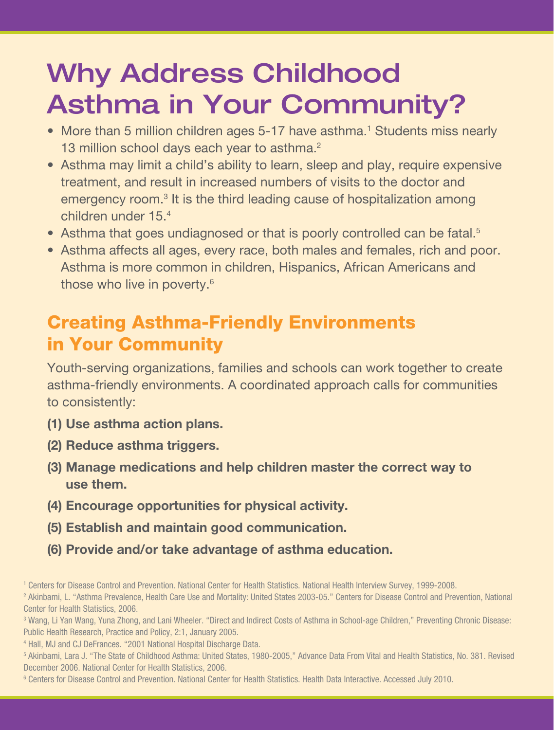## Why Address Childhood Asthma in Your Community?

- More than 5 million children ages 5-17 have asthma.<sup>1</sup> Students miss nearly 13 million school days each year to asthma.<sup>2</sup>
- Asthma may limit a child's ability to learn, sleep and play, require expensive treatment, and result in increased numbers of visits to the doctor and emergency room.<sup>3</sup> It is the third leading cause of hospitalization among children under 15.4
- Asthma that goes undiagnosed or that is poorly controlled can be fatal.<sup>5</sup>
- Asthma affects all ages, every race, both males and females, rich and poor. Asthma is more common in children, Hispanics, African Americans and those who live in poverty.6

#### Creating Asthma-Friendly Environments in Your Community

Youth-serving organizations, families and schools can work together to create asthma-friendly environments. A coordinated approach calls for communities to consistently:

- **(1) Use asthma action plans.**
- **(2) Reduce asthma triggers.**
- **(3) Manage medications and help children master the correct way to use them.**
- **(4) Encourage opportunities for physical activity.**
- **(5) Establish and maintain good communication.**
- **(6) Provide and/or take advantage of asthma education.**

<sup>&</sup>lt;sup>1</sup> Centers for Disease Control and Prevention. National Center for Health Statistics. National Health Interview Survey, 1999-2008.

<sup>2</sup> Akinbami, L. "Asthma Prevalence, Health Care Use and Mortality: United States 2003-05." Centers for Disease Control and Prevention, National Center for Health Statistics, 2006.

<sup>&</sup>lt;sup>3</sup> Wang, Li Yan Wang, Yuna Zhong, and Lani Wheeler. "Direct and Indirect Costs of Asthma in School-age Children," Preventing Chronic Disease: Public Health Research, Practice and Policy, 2:1, January 2005.

<sup>4</sup> Hall, MJ and CJ DeFrances. "2001 National Hospital Discharge Data.

<sup>5</sup> Akinbami, Lara J. "The State of Childhood Asthma: United States, 1980-2005," Advance Data From Vital and Health Statistics, No. 381. Revised December 2006. National Center for Health Statistics, 2006.

<sup>6</sup> Centers for Disease Control and Prevention. National Center for Health Statistics. Health Data Interactive. Accessed July 2010.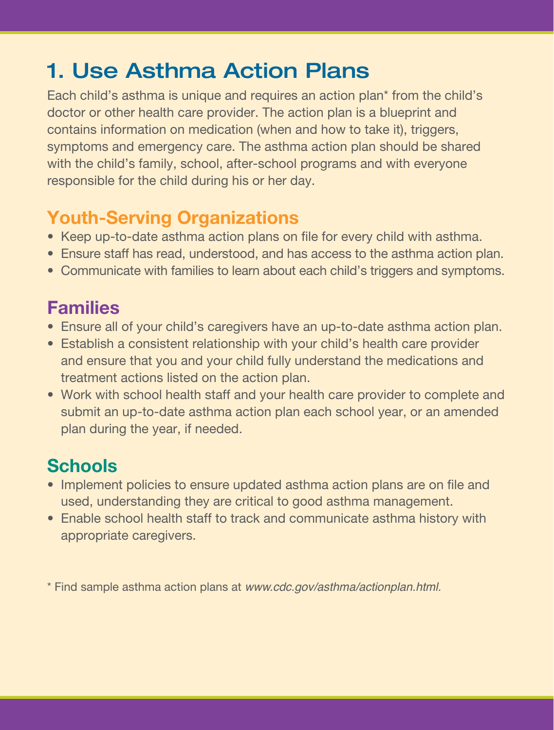## 1. Use Asthma Action Plans

Each child's asthma is unique and requires an action plan\* from the child's doctor or other health care provider. The action plan is a blueprint and contains information on medication (when and how to take it), triggers, symptoms and emergency care. The asthma action plan should be shared with the child's family, school, after-school programs and with everyone responsible for the child during his or her day.

#### **Youth-Serving Organizations**

- Keep up-to-date asthma action plans on file for every child with asthma.
- Ensure staff has read, understood, and has access to the asthma action plan.
- Communicate with families to learn about each child's triggers and symptoms.

#### **Families**

- Ensure all of your child's caregivers have an up-to-date asthma action plan.
- Establish a consistent relationship with your child's health care provider and ensure that you and your child fully understand the medications and treatment actions listed on the action plan.
- Work with school health staff and your health care provider to complete and submit an up-to-date asthma action plan each school year, or an amended plan during the year, if needed.

#### **Schools**

- Implement policies to ensure updated asthma action plans are on file and used, understanding they are critical to good asthma management.
- Enable school health staff to track and communicate asthma history with appropriate caregivers.

\* Find sample asthma action plans at www.cdc.gov/asthma/actionplan.html.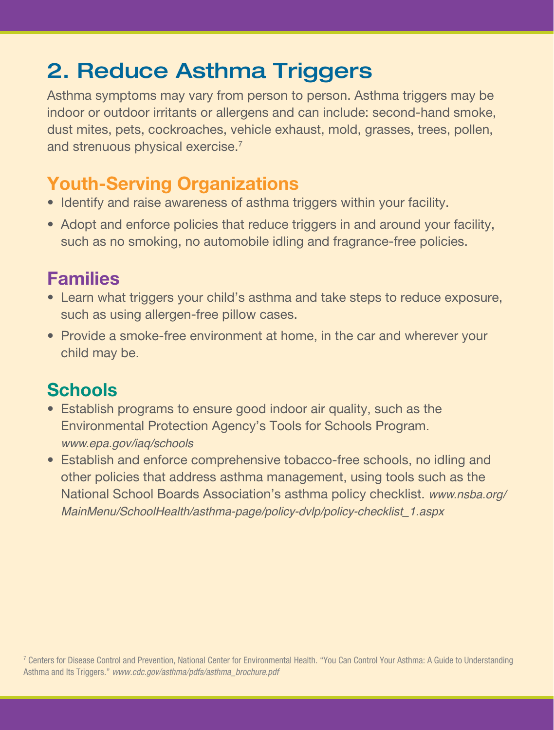## 2. Reduce Asthma Triggers

Asthma symptoms may vary from person to person. Asthma triggers may be indoor or outdoor irritants or allergens and can include: second-hand smoke, dust mites, pets, cockroaches, vehicle exhaust, mold, grasses, trees, pollen, and strenuous physical exercise.<sup>7</sup>

#### **Youth-Serving Organizations**

- Identify and raise awareness of asthma triggers within your facility.
- Adopt and enforce policies that reduce triggers in and around your facility, such as no smoking, no automobile idling and fragrance-free policies.

#### **Families**

- Learn what triggers your child's asthma and take steps to reduce exposure, such as using allergen-free pillow cases.
- Provide a smoke-free environment at home, in the car and wherever your child may be.

- Establish programs to ensure good indoor air quality, such as the Environmental Protection Agency's Tools for Schools Program. www.epa.gov/iaq/schools
- Establish and enforce comprehensive tobacco-free schools, no idling and other policies that address asthma management, using tools such as the National School Boards Association's asthma policy checklist. www.nsba.org/ MainMenu/SchoolHealth/asthma-page/policy-dvlp/policy-checklist\_1.aspx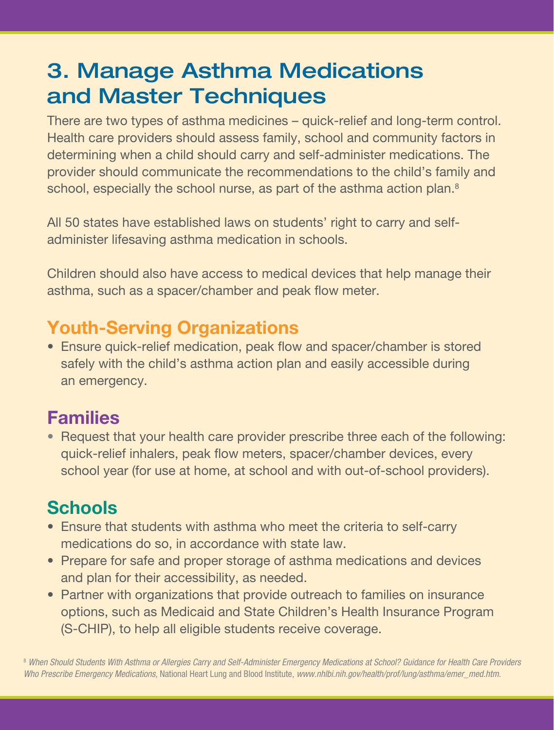### 3. Manage Asthma Medications and Master Techniques

There are two types of asthma medicines – quick-relief and long-term control. Health care providers should assess family, school and community factors in determining when a child should carry and self-administer medications. The provider should communicate the recommendations to the child's family and school, especially the school nurse, as part of the asthma action plan.<sup>8</sup>

All 50 states have established laws on students' right to carry and selfadminister lifesaving asthma medication in schools.

Children should also have access to medical devices that help manage their asthma, such as a spacer/chamber and peak flow meter.

#### **Youth-Serving Organizations**

• Ensure quick-relief medication, peak flow and spacer/chamber is stored safely with the child's asthma action plan and easily accessible during an emergency.

#### **Families**

• Request that your health care provider prescribe three each of the following: quick-relief inhalers, peak flow meters, spacer/chamber devices, every school year (for use at home, at school and with out-of-school providers).

#### **Schools**

- Ensure that students with asthma who meet the criteria to self-carry medications do so, in accordance with state law.
- Prepare for safe and proper storage of asthma medications and devices and plan for their accessibility, as needed.
- Partner with organizations that provide outreach to families on insurance options, such as Medicaid and State Children's Health Insurance Program (S-CHIP), to help all eligible students receive coverage.

<sup>8</sup> When Should Students With Asthma or Allergies Carry and Self-Administer Emergency Medications at School? Guidance for Health Care Providers Who Prescribe Emergency Medications, National Heart Lung and Blood Institute, www.nhlbi.nih.gov/health/prof/lung/asthma/emer\_med.htm.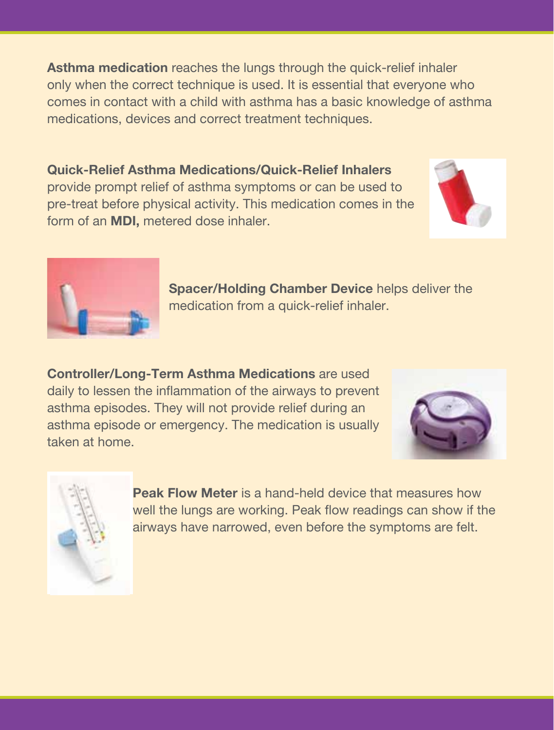**Asthma medication** reaches the lungs through the quick-relief inhaler only when the correct technique is used. It is essential that everyone who comes in contact with a child with asthma has a basic knowledge of asthma medications, devices and correct treatment techniques.

**Quick-Relief Asthma Medications/Quick-Relief Inhalers** provide prompt relief of asthma symptoms or can be used to pre-treat before physical activity. This medication comes in the form of an **MDI,** metered dose inhaler.





**Spacer/Holding Chamber Device** helps deliver the medication from a quick-relief inhaler.

**Controller/Long-Term Asthma Medications** are used daily to lessen the inflammation of the airways to prevent asthma episodes. They will not provide relief during an asthma episode or emergency. The medication is usually taken at home.





**Peak Flow Meter** is a hand-held device that measures how well the lungs are working. Peak flow readings can show if the airways have narrowed, even before the symptoms are felt.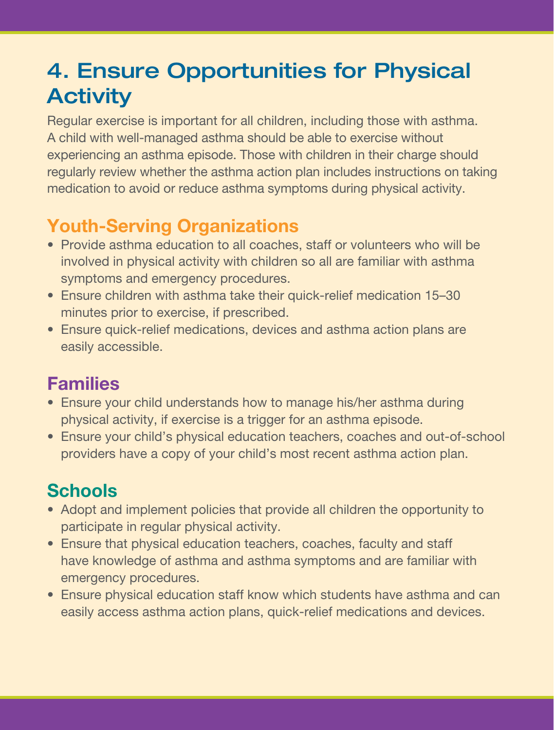### 4. Ensure Opportunities for Physical **Activity**

Regular exercise is important for all children, including those with asthma. A child with well-managed asthma should be able to exercise without experiencing an asthma episode. Those with children in their charge should regularly review whether the asthma action plan includes instructions on taking medication to avoid or reduce asthma symptoms during physical activity.

#### **Youth-Serving Organizations**

- Provide asthma education to all coaches, staff or volunteers who will be involved in physical activity with children so all are familiar with asthma symptoms and emergency procedures.
- Ensure children with asthma take their quick-relief medication 15–30 minutes prior to exercise, if prescribed.
- Ensure quick-relief medications, devices and asthma action plans are easily accessible.

#### **Families**

- Ensure your child understands how to manage his/her asthma during physical activity, if exercise is a trigger for an asthma episode.
- Ensure your child's physical education teachers, coaches and out-of-school providers have a copy of your child's most recent asthma action plan.

- Adopt and implement policies that provide all children the opportunity to participate in regular physical activity.
- Ensure that physical education teachers, coaches, faculty and staff have knowledge of asthma and asthma symptoms and are familiar with emergency procedures.
- Ensure physical education staff know which students have asthma and can easily access asthma action plans, quick-relief medications and devices.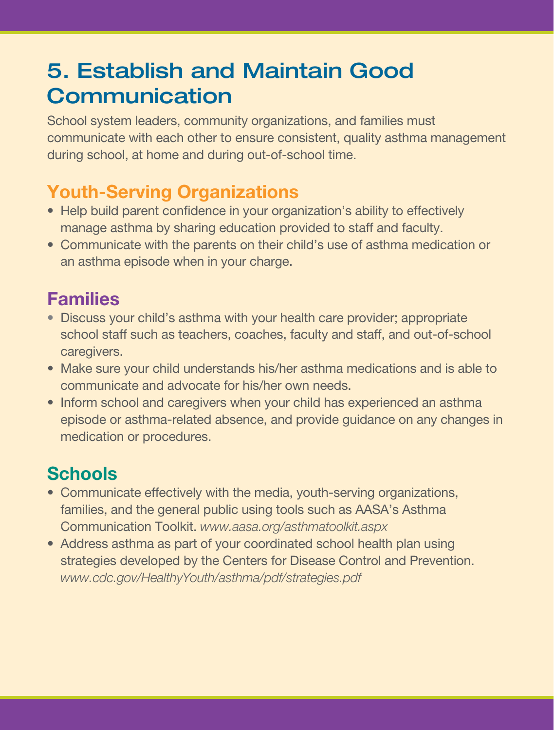### 5. Establish and Maintain Good **Communication**

School system leaders, community organizations, and families must communicate with each other to ensure consistent, quality asthma management during school, at home and during out-of-school time.

#### **Youth-Serving Organizations**

- Help build parent confidence in your organization's ability to effectively manage asthma by sharing education provided to staff and faculty.
- Communicate with the parents on their child's use of asthma medication or an asthma episode when in your charge.

#### **Families**

- Discuss your child's asthma with your health care provider; appropriate school staff such as teachers, coaches, faculty and staff, and out-of-school caregivers.
- Make sure your child understands his/her asthma medications and is able to communicate and advocate for his/her own needs.
- Inform school and caregivers when your child has experienced an asthma episode or asthma-related absence, and provide guidance on any changes in medication or procedures.

- Communicate effectively with the media, youth-serving organizations, families, and the general public using tools such as AASA's Asthma Communication Toolkit. *www.aasa.org/asthmatoolkit.aspx*
- Address asthma as part of your coordinated school health plan using strategies developed by the Centers for Disease Control and Prevention. *www.cdc.gov/HealthyYouth/asthma/pdf/strategies.pdf*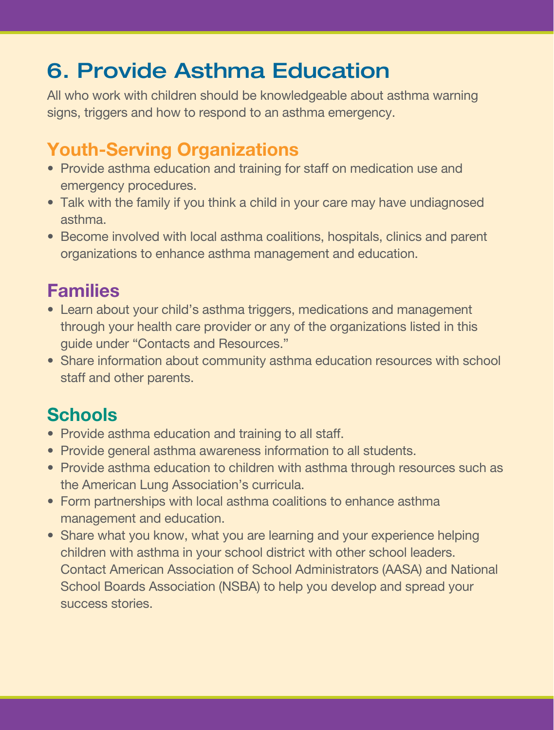## 6. Provide Asthma Education

All who work with children should be knowledgeable about asthma warning signs, triggers and how to respond to an asthma emergency.

#### **Youth-Serving Organizations**

- Provide asthma education and training for staff on medication use and emergency procedures.
- Talk with the family if you think a child in your care may have undiagnosed asthma.
- Become involved with local asthma coalitions, hospitals, clinics and parent organizations to enhance asthma management and education.

#### **Families**

- Learn about your child's asthma triggers, medications and management through your health care provider or any of the organizations listed in this guide under "Contacts and Resources."
- Share information about community asthma education resources with school staff and other parents.

- Provide asthma education and training to all staff.
- Provide general asthma awareness information to all students.
- Provide asthma education to children with asthma through resources such as the American Lung Association's curricula.
- Form partnerships with local asthma coalitions to enhance asthma management and education.
- Share what you know, what you are learning and your experience helping children with asthma in your school district with other school leaders. Contact American Association of School Administrators (AASA) and National School Boards Association (NSBA) to help you develop and spread your success stories.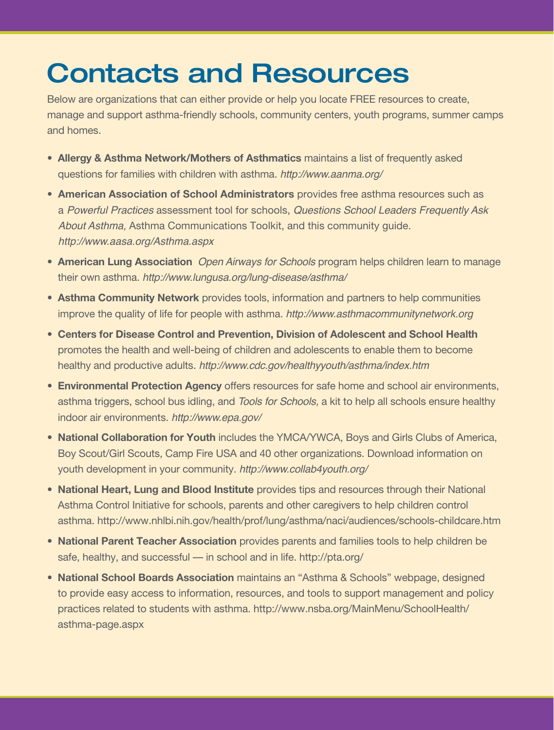## Contacts and Resources

Below are organizations that can either provide or help you locate FREE resources to create, manage and support asthma-friendly schools, community centers, youth programs, summer camps and homes.

- **Allergy & Asthma Network/Mothers of Asthmatics** maintains a list of frequently asked questions for families with children with asthma. http://www.aanma.org/
- **American Association of School Administrators** provides free asthma resources such as a Powerful Practices assessment tool for schools, Questions School Leaders Frequently Ask About Asthma, Asthma Communications Toolkit, and this community guide. http://www.aasa.org/Asthma.aspx
- **American Lung Association** Open Airways for Schools program helps children learn to manage their own asthma. http://www.lungusa.org/lung-disease/asthma/
- **Asthma Community Network** provides tools, information and partners to help communities improve the quality of life for people with asthma. http://www.asthmacommunitynetwork.org
- **Centers for Disease Control and Prevention, Division of Adolescent and School Health** promotes the health and well-being of children and adolescents to enable them to become healthy and productive adults. http://www.cdc.gov/healthyyouth/asthma/index.htm
- **Environmental Protection Agency** offers resources for safe home and school air environments, asthma triggers, school bus idling, and Tools for Schools, a kit to help all schools ensure healthy indoor air environments. http://www.epa.gov/
- **National Collaboration for Youth** includes the YMCA/YWCA, Boys and Girls Clubs of America, Boy Scout/Girl Scouts, Camp Fire USA and 40 other organizations. Download information on youth development in your community. http://www.collab4youth.org/
- **National Heart, Lung and Blood Institute** provides tips and resources through their National Asthma Control Initiative for schools, parents and other caregivers to help children control asthma. http://www.nhlbi.nih.gov/health/prof/lung/asthma/naci/audiences/schools-childcare.htm
- **National Parent Teacher Association** provides parents and families tools to help children be safe, healthy, and successful — in school and in life. http://pta.org/
- **National School Boards Association** maintains an "Asthma & Schools" webpage, designed to provide easy access to information, resources, and tools to support management and policy practices related to students with asthma. http://www.nsba.org/MainMenu/SchoolHealth/ asthma-page.aspx